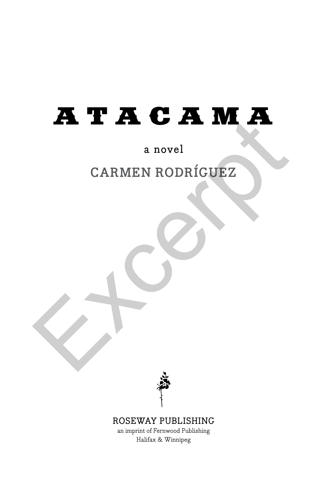# ATACAMA CARMEN RODRÍGUEZ

# a novel

# **CARMEN RODRÍGUEZ**



### ROSEWAY PUBLISHING

an imprint of Fernwood Publishing Halifax & Winnipeg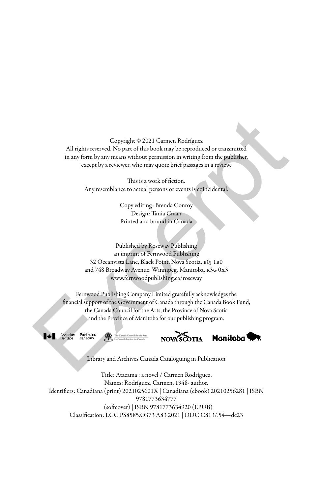Copyright © 2021 Carmen Rodríguez All rights reserved. No part of this book may be reproduced or transmitted in any form by any means without permission in writing from the publisher, except by a reviewer, who may quote brief passages in a review.

> This is a work of fiction. Any resemblance to actual persons or events is coincidental.

> > Copy editing: Brenda Conroy Design: Tania Craan Printed and bound in Canada

Published by Roseway Publishing an imprint of Fernwood Publishing 32 Oceanvista Lane, Black Point, Nova Scotia, b0j 1b0 and 748 Broadway Avenue, Winnipeg, Manitoba, R3G 0x3 www.fernwoodpublishing.ca/roseway

Fernwood Publishing Company Limited gratefully acknowledges the financial support of the Government of Canada through the Canada Book Fund, the Canada Council for the Arts, the Province of Nova Scotia and the Province of Manitoba for our publishing program. Copyright © 2021 Carmen Rodriguez<br>
All rights reserved. No part of this book may be reproduced or transmitted<br>
in any form by any means without permission in writing from the publisher.<br>
except by a reviewe, who may quote







Library and Archives Canada Cataloguing in Publication

Title: Atacama : a novel / Carmen Rodríguez. Names: Rodríguez, Carmen, 1948- author. Identifiers: Canadiana (print) 2021025601X | Canadiana (ebook) 20210256281 | ISBN 9781773634777 (softcover) | ISBN 9781773634920 (EPUB) Classification: LCC PS8585.O373 A83 2021 | DDC C813/.54—dc23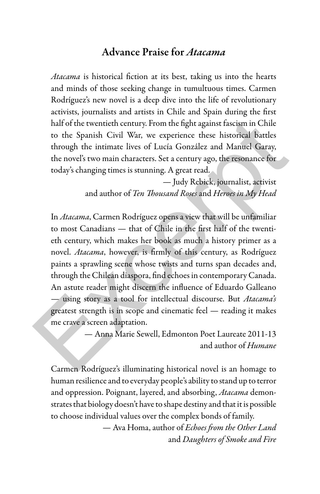## Advance Praise for *Atacama*

*Atacama* is historical fiction at its best, taking us into the hearts and minds of those seeking change in tumultuous times. Carmen Rodríguez's new novel is a deep dive into the life of revolutionary activists, journalists and artists in Chile and Spain during the first half of the twentieth century. From the fight against fascism in Chile to the Spanish Civil War, we experience these historical battles through the intimate lives of Lucía González and Manuel Garay, the novel's two main characters. Set a century ago, the resonance for today's changing times is stunning. A great read.

> — Judy Rebick, journalist, activist and author of *Ten Thousand Roses* and *Heroes in My Head*

In *Atacama*, Carmen Rodríguez opens a view that will be unfamiliar to most Canadians — that of Chile in the first half of the twentieth century, which makes her book as much a history primer as a novel. *Atacama*, however, is firmly of this century, as Rodríguez paints a sprawling scene whose twists and turns span decades and, through the Chilean diaspora, find echoes in contemporary Canada. An astute reader might discern the influence of Eduardo Galleano — using story as a tool for intellectual discourse. But *Atacama's* greatest strength is in scope and cinematic feel — reading it makes me crave a screen adaptation. half of the twentieth century. From the fight against fascism in Chile<br>to the Spanish Civil War, we experience these historical battles<br>through the intimate lives of Lucía González and Manuel Garay,<br>the novel's two main c

— Anna Marie Sewell, Edmonton Poet Laureate 2011-13 and author of *Humane*

Carmen Rodríguez's illuminating historical novel is an homage to human resilience and to everyday people's ability to stand up to terror and oppression. Poignant, layered, and absorbing, *Atacama* demonstrates that biology doesn't have to shape destiny and that it is possible to choose individual values over the complex bonds of family.

> — Ava Homa, author of *Echoes from the Other Land* and *Daughters of Smoke and Fire*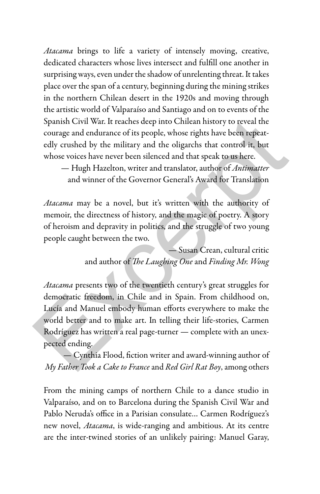*Atacama* brings to life a variety of intensely moving, creative, dedicated characters whose lives intersect and fulfill one another in surprising ways, even under the shadow of unrelenting threat. It takes place over the span of a century, beginning during the mining strikes in the northern Chilean desert in the 1920s and moving through the artistic world of Valparaíso and Santiago and on to events of the Spanish Civil War. It reaches deep into Chilean history to reveal the courage and endurance of its people, whose rights have been repeatedly crushed by the military and the oligarchs that control it, but whose voices have never been silenced and that speak to us here.

— Hugh Hazelton, writer and translator, author of *Antimatter* and winner of the Governor General's Award for Translation

*Atacama* may be a novel, but it's written with the authority of memoir, the directness of history, and the magic of poetry. A story of heroism and depravity in politics, and the struggle of two young people caught between the two.

> — Susan Crean, cultural critic and author of *The Laughing One* and *Finding Mr. Wong*

*Atacama* presents two of the twentieth century's great struggles for democratic freedom, in Chile and in Spain. From childhood on, Lucía and Manuel embody human efforts everywhere to make the world better and to make art. In telling their life-stories, Carmen Rodríguez has written a real page-turner — complete with an unexpected ending. Spanish Civil War. It reaches deep into Chilean history to reveal the<br>courage and endurance of its people, whose rights have been repeat-<br>edly crushed by the military and the oligarchs that control it, but<br>whose voices ha

— Cynthia Flood, fiction writer and award-winning author of *My Father Took a Cake to France* and *Red Girl Rat Boy*, among others

From the mining camps of northern Chile to a dance studio in Valparaíso, and on to Barcelona during the Spanish Civil War and Pablo Neruda's office in a Parisian consulate… Carmen Rodríguez's new novel, *Atacama*, is wide-ranging and ambitious. At its centre are the inter-twined stories of an unlikely pairing: Manuel Garay,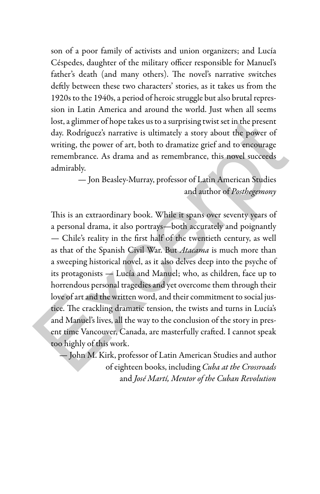son of a poor family of activists and union organizers; and Lucía Céspedes, daughter of the military officer responsible for Manuel's father's death (and many others). The novel's narrative switches deftly between these two characters' stories, as it takes us from the 1920s to the 1940s, a period of heroic struggle but also brutal repression in Latin America and around the world. Just when all seems lost, a glimmer of hope takes us to a surprising twist set in the present day. Rodríguez's narrative is ultimately a story about the power of writing, the power of art, both to dramatize grief and to encourage remembrance. As drama and as remembrance, this novel succeeds admirably.

> — Jon Beasley-Murray, professor of Latin American Studies and author of *Posthegemony*

This is an extraordinary book. While it spans over seventy years of a personal drama, it also portrays—both accurately and poignantly — Chile's reality in the first half of the twentieth century, as well as that of the Spanish Civil War. But *Atacama* is much more than a sweeping historical novel, as it also delves deep into the psyche of its protagonists — Lucía and Manuel; who, as children, face up to horrendous personal tragedies and yet overcome them through their love of art and the written word, and their commitment to social justice. The crackling dramatic tension, the twists and turns in Lucía's and Manuel's lives, all the way to the conclusion of the story in present time Vancouver, Canada, are masterfully crafted. I cannot speak too highly of this work. lost, a glimmer of hope takes us to a surprising twist set in the present<br>day. Rodríguez's narrative is ultimately a story about the power of<br>writing, the power of art, both to dramatize grief and to encourage<br>remembrance

— John M. Kirk, professor of Latin American Studies and author of eighteen books, including *Cuba at the Crossroads* and *José Martí, Mentor of the Cuban Revolution*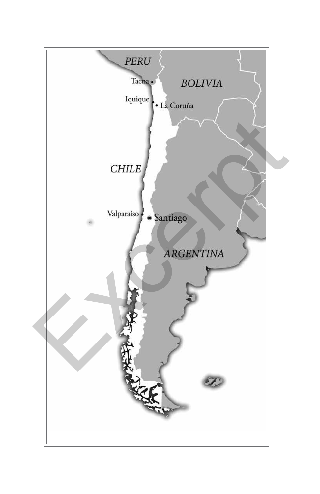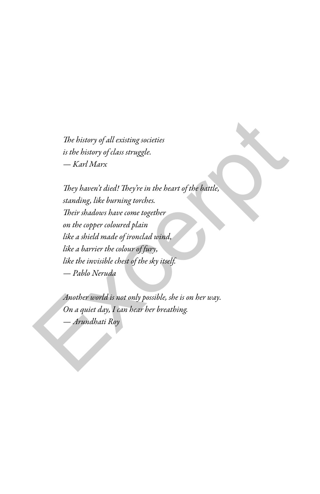*The history of all existing societies is the history of class struggle. — Karl Marx*

*They haven't died! They're in the heart of the battle, standing, like burning torches. Their shadows have come together on the copper coloured plain like a shield made of ironclad wind, like a barrier the colour of fury, like the invisible chest of the sky itself. — Pablo Neruda* The bistory of all existing societies<br>
is the bistory of class struggle.<br>  $-$  Karl Marx<br>  $\blacksquare$ <br>
They haven't died! They're in the beart of the battle,<br>
standing, like burning torches.<br>
Their shadows have come together<br>
o

*Another world is not only possible, she is on her way. On a quiet day, I can hear her breathing. — Arundhati Roy*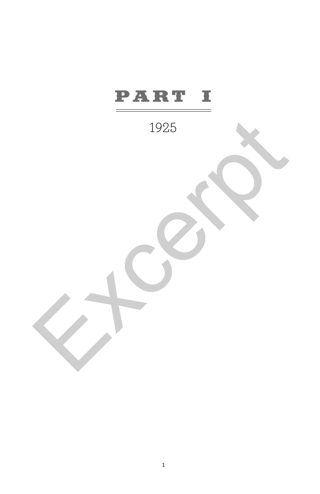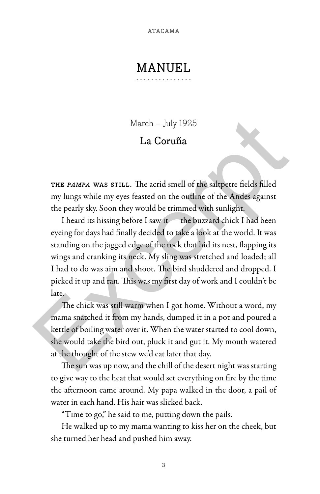# MANUEL.

March – July 1925

# La Coruña

THE PAMPA WAS STILL. The acrid smell of the saltpetre fields filled my lungs while my eyes feasted on the outline of the Andes against the pearly sky. Soon they would be trimmed with sunlight.

I heard its hissing before I saw it — the buzzard chick I had been eyeing for days had finally decided to take a look at the world. It was standing on the jagged edge of the rock that hid its nest, flapping its wings and cranking its neck. My sling was stretched and loaded; all I had to do was aim and shoot. The bird shuddered and dropped. I picked it up and ran. This was my first day of work and I couldn't be late. March – July 1925<br>
La Coruña<br>
La Coruña<br>
La Coruña<br>
THE PAMPA WAS STILL. The acrid smell of the saltpette fields filled<br>
my lungs while my eyes feasted on the outline of the Andes against<br>
the pearly sky. Soon they would

The chick was still warm when I got home. Without a word, my mama snatched it from my hands, dumped it in a pot and poured a kettle of boiling water over it. When the water started to cool down, she would take the bird out, pluck it and gut it. My mouth watered at the thought of the stew we'd eat later that day.

The sun was up now, and the chill of the desert night was starting to give way to the heat that would set everything on fire by the time the afternoon came around. My papa walked in the door, a pail of water in each hand. His hair was slicked back.

"Time to go," he said to me, putting down the pails.

He walked up to my mama wanting to kiss her on the cheek, but she turned her head and pushed him away.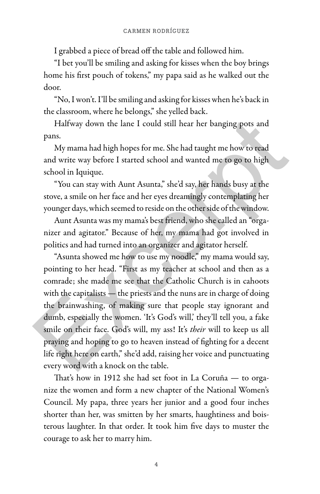I grabbed a piece of bread off the table and followed him.

"I bet you'll be smiling and asking for kisses when the boy brings home his first pouch of tokens," my papa said as he walked out the door.

"No, I won't. I'll be smiling and asking for kisses when he's back in the classroom, where he belongs," she yelled back.

Halfway down the lane I could still hear her banging pots and pans.

My mama had high hopes for me. She had taught me how to read and write way before I started school and wanted me to go to high school in Iquique.

"You can stay with Aunt Asunta," she'd say, her hands busy at the stove, a smile on her face and her eyes dreamingly contemplating her younger days, which seemed to reside on the other side of the window.

Aunt Asunta was my mama's best friend, who she called an "organizer and agitator." Because of her, my mama had got involved in politics and had turned into an organizer and agitator herself.

"Asunta showed me how to use my noodle," my mama would say, pointing to her head. "First as my teacher at school and then as a comrade; she made me see that the Catholic Church is in cahoots with the capitalists — the priests and the nuns are in charge of doing the brainwashing, of making sure that people stay ignorant and dumb, especially the women. 'It's God's will,' they'll tell you, a fake smile on their face. God's will, my ass! It's *their* will to keep us all praying and hoping to go to heaven instead of fighting for a decent life right here on earth," she'd add, raising her voice and punctuating every word with a knock on the table. Halfway down the lane I could still hear her banging pots and<br>pans.<br>My mama had high hopes for me. She had taught me how to read<br>and write way before I started school and wanted me to go to high<br>school in Iquique.<br>"You can

That's how in 1912 she had set foot in La Coruña — to organize the women and form a new chapter of the National Women's Council. My papa, three years her junior and a good four inches shorter than her, was smitten by her smarts, haughtiness and boisterous laughter. In that order. It took him five days to muster the courage to ask her to marry him.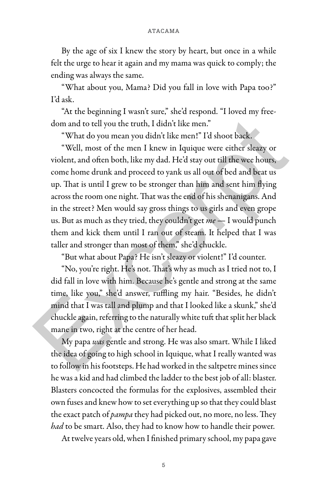By the age of six I knew the story by heart, but once in a while felt the urge to hear it again and my mama was quick to comply; the ending was always the same.

"What about you, Mama? Did you fall in love with Papa too?" I'd ask.

"At the beginning I wasn't sure," she'd respond. "I loved my freedom and to tell you the truth, I didn't like men."

"What do you mean you didn't like men!" I'd shoot back.

"Well, most of the men I knew in Iquique were either sleazy or violent, and often both, like my dad. He'd stay out till the wee hours, come home drunk and proceed to yank us all out of bed and beat us up. That is until I grew to be stronger than him and sent him flying across the room one night. That was the end of his shenanigans. And in the street? Men would say gross things to us girls and even grope us. But as much as they tried, they couldn't get *me* — I would punch them and kick them until I ran out of steam. It helped that I was taller and stronger than most of them," she'd chuckle. dom and to tell you the truth, I didn't like men."<br>
"What do you mean you didn't like men." I'd shoot back.<br>
"Well, most of the men I knew in Iquique were either sleazy or<br>
violent, and often both, like my dad. He'd stay o

"But what about Papa? He isn't sleazy or violent!" I'd counter.

"No, you're right. He's not. That's why as much as I tried not to, I did fall in love with him. Because he's gentle and strong at the same time, like you," she'd answer, ruffling my hair. "Besides, he didn't mind that I was tall and plump and that I looked like a skunk," she'd chuckle again, referring to the naturally white tuft that split her black mane in two, right at the centre of her head.

My papa *was* gentle and strong. He was also smart. While I liked the idea of going to high school in Iquique, what I really wanted was to follow in his footsteps. He had worked in the saltpetre mines since he was a kid and had climbed the ladder to the best job of all: blaster. Blasters concocted the formulas for the explosives, assembled their own fuses and knew how to set everything up so that they could blast the exact patch of *pampa* they had picked out, no more, no less. They *had* to be smart. Also, they had to know how to handle their power.

At twelve years old, when I finished primary school, my papa gave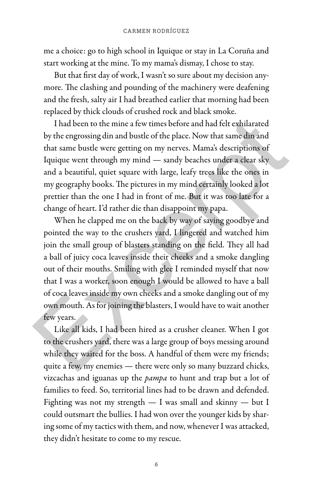me a choice: go to high school in Iquique or stay in La Coruña and start working at the mine. To my mama's dismay, I chose to stay.

But that first day of work, I wasn't so sure about my decision anymore. The clashing and pounding of the machinery were deafening and the fresh, salty air I had breathed earlier that morning had been replaced by thick clouds of crushed rock and black smoke.

I had been to the mine a few times before and had felt exhilarated by the engrossing din and bustle of the place. Now that same din and that same bustle were getting on my nerves. Mama's descriptions of Iquique went through my mind — sandy beaches under a clear sky and a beautiful, quiet square with large, leafy trees like the ones in my geography books. The pictures in my mind certainly looked a lot prettier than the one I had in front of me. But it was too late for a change of heart. I'd rather die than disappoint my papa.

When he clapped me on the back by way of saying goodbye and pointed the way to the crushers yard, I lingered and watched him join the small group of blasters standing on the field. They all had a ball of juicy coca leaves inside their cheeks and a smoke dangling out of their mouths. Smiling with glee I reminded myself that now that I was a worker, soon enough I would be allowed to have a ball of coca leaves inside my own cheeks and a smoke dangling out of my own mouth. As for joining the blasters, I would have to wait another few years. I had been to the mine a few times before and had felt exhilarated<br>by the engrossing din and bustle of the place. Now that same din and<br>that same bustle were getting on my nerves. Mama's descriptions of<br>Iquique went throu

Like all kids, I had been hired as a crusher cleaner. When I got to the crushers yard, there was a large group of boys messing around while they waited for the boss. A handful of them were my friends; quite a few, my enemies — there were only so many buzzard chicks, vizcachas and iguanas up the *pampa* to hunt and trap but a lot of families to feed. So, territorial lines had to be drawn and defended. Fighting was not my strength — I was small and skinny — but I could outsmart the bullies. I had won over the younger kids by sharing some of my tactics with them, and now, whenever I was attacked, they didn't hesitate to come to my rescue.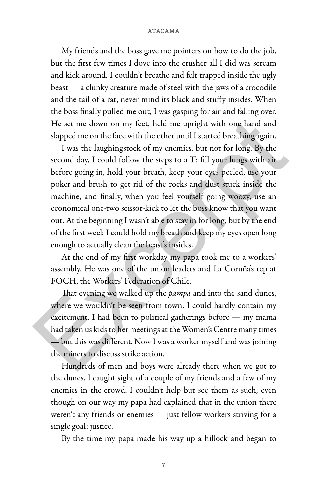My friends and the boss gave me pointers on how to do the job, but the first few times I dove into the crusher all I did was scream and kick around. I couldn't breathe and felt trapped inside the ugly beast — a clunky creature made of steel with the jaws of a crocodile and the tail of a rat, never mind its black and stuffy insides. When the boss finally pulled me out, I was gasping for air and falling over. He set me down on my feet, held me upright with one hand and slapped me on the face with the other until I started breathing again.

I was the laughingstock of my enemies, but not for long. By the second day, I could follow the steps to a T: fill your lungs with air before going in, hold your breath, keep your eyes peeled, use your poker and brush to get rid of the rocks and dust stuck inside the machine, and finally, when you feel yourself going woozy, use an economical one-two scissor-kick to let the boss know that you want out. At the beginning I wasn't able to stay in for long, but by the end of the first week I could hold my breath and keep my eyes open long enough to actually clean the beast's insides. He set me down on my feet, held me upright with one hand and slapped me on the face with the other until I started breaching again.<br>
I was the laughingstock of my enemies, but not for long. By the second day, I could foll

At the end of my first workday my papa took me to a workers' assembly. He was one of the union leaders and La Coruña's rep at FOCH, the Workers' Federation of Chile.

That evening we walked up the *pampa* and into the sand dunes, where we wouldn't be seen from town. I could hardly contain my excitement. I had been to political gatherings before — my mama had taken us kids to her meetings at the Women's Centre many times — but this was different. Now I was a worker myself and was joining the miners to discuss strike action.

Hundreds of men and boys were already there when we got to the dunes. I caught sight of a couple of my friends and a few of my enemies in the crowd. I couldn't help but see them as such, even though on our way my papa had explained that in the union there weren't any friends or enemies - just fellow workers striving for a single goal: justice.

By the time my papa made his way up a hillock and began to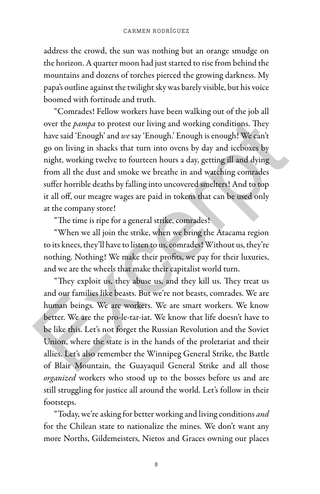address the crowd, the sun was nothing but an orange smudge on the horizon. A quarter moon had just started to rise from behind the mountains and dozens of torches pierced the growing darkness. My papa's outline against the twilight sky was barely visible, but his voice boomed with fortitude and truth.

"Comrades! Fellow workers have been walking out of the job all over the *pampa* to protest our living and working conditions. They have said 'Enough' and *we* say 'Enough.' Enough is enough! We can't go on living in shacks that turn into ovens by day and iceboxes by night, working twelve to fourteen hours a day, getting ill and dying from all the dust and smoke we breathe in and watching comrades suffer horrible deaths by falling into uncovered smelters! And to top it all off, our meagre wages are paid in tokens that can be used only at the company store! over the *pampa* to protest our living and working conditions. They<br>have said 'Enough' and we say 'Enough.' Enough is enough! We can't<br>go on living in shacks that turn into ovens by day and iceboxes by<br>night, working twel

"The time is ripe for a general strike, comrades!

"When we all join the strike, when we bring the Atacama region to its knees, they'll have to listen to us, comrades! Without us, they're nothing. Nothing! We make their profits, we pay for their luxuries, and we are the wheels that make their capitalist world turn.

"They exploit us, they abuse us, and they kill us. They treat us and our families like beasts. But we're not beasts, comrades. We are human beings. We are workers. We are smart workers. We know better. We are the pro-le-tar-iat. We know that life doesn't have to be like this. Let's not forget the Russian Revolution and the Soviet Union, where the state is in the hands of the proletariat and their allies. Let's also remember the Winnipeg General Strike, the Battle of Blair Mountain, the Guayaquil General Strike and all those *organized* workers who stood up to the bosses before us and are still struggling for justice all around the world. Let's follow in their footsteps.

"Today, we're asking for better working and living conditions *and* for the Chilean state to nationalize the mines. We don't want any more Norths, Gildemeisters, Nietos and Graces owning our places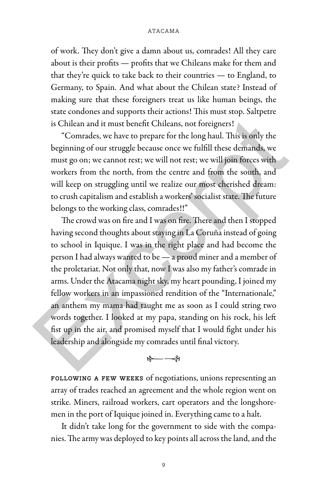of work. They don't give a damn about us, comrades! All they care about is their profits — profits that we Chileans make for them and that they're quick to take back to their countries — to England, to Germany, to Spain. And what about the Chilean state? Instead of making sure that these foreigners treat us like human beings, the state condones and supports their actions! This must stop. Saltpetre is Chilean and it must benefit Chileans, not foreigners!

"Comrades, we have to prepare for the long haul. This is only the beginning of our struggle because once we fulfill these demands, we must go on; we cannot rest; we will not rest; we will join forces with workers from the north, from the centre and from the south, and will keep on struggling until we realize our most cherished dream: to crush capitalism and establish a workers' socialist state. The future belongs to the working class, comrades!!"

The crowd was on fire and I was on fire. There and then I stopped having second thoughts about staying in La Coruña instead of going to school in Iquique. I was in the right place and had become the person I had always wanted to be — a proud miner and a member of the proletariat. Not only that, now I was also my father's comrade in arms. Under the Atacama night sky, my heart pounding, I joined my fellow workers in an impassioned rendition of the "Internationale," an anthem my mama had taught me as soon as I could string two words together. I looked at my papa, standing on his rock, his left fist up in the air, and promised myself that I would fight under his leadership and alongside my comrades until final victory. is Chilean and it must benefit Chileans, not foreigners!<br>
"Comrades, we have to prepare for the long haul. This is only the<br>
beginning of our struggle because once we fulfill these demands, we<br>
must go on; we cannot rest;

#### $-\frac{2}{3}$

following a few weeks of negotiations, unions representing an array of trades reached an agreement and the whole region went on strike. Miners, railroad workers, cart operators and the longshoremen in the port of Iquique joined in. Everything came to a halt.

It didn't take long for the government to side with the companies. The army was deployed to key points all across the land, and the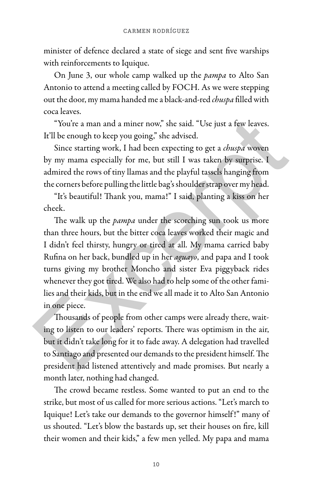minister of defence declared a state of siege and sent five warships with reinforcements to Iquique.

On June 3, our whole camp walked up the *pampa* to Alto San Antonio to attend a meeting called by FOCH. As we were stepping out the door, my mama handed me a black-and-red *chuspa* filled with coca leaves.

"You're a man and a miner now," she said. "Use just a few leaves. It'll be enough to keep you going," she advised.

Since starting work, I had been expecting to get a *chuspa* woven by my mama especially for me, but still I was taken by surprise. I admired the rows of tiny llamas and the playful tassels hanging from the corners before pulling the little bag's shoulder strap over my head.

"It's beautiful! Thank you, mama!" I said, planting a kiss on her cheek.

The walk up the *pampa* under the scorching sun took us more than three hours, but the bitter coca leaves worked their magic and I didn't feel thirsty, hungry or tired at all. My mama carried baby Rufina on her back, bundled up in her *aguayo*, and papa and I took turns giving my brother Moncho and sister Eva piggyback rides whenever they got tired. We also had to help some of the other families and their kids, but in the end we all made it to Alto San Antonio in one piece. "You're a man and a miner now," she said. "Use just a few leaves.<br>
It'll be enough to keep you going," she advised.<br>
Since starting work, I had been expecting to get a *chuspa* woven<br>
by my mama especially for me, but sti

Thousands of people from other camps were already there, waiting to listen to our leaders' reports. There was optimism in the air, but it didn't take long for it to fade away. A delegation had travelled to Santiago and presented our demands to the president himself. The president had listened attentively and made promises. But nearly a month later, nothing had changed.

The crowd became restless. Some wanted to put an end to the strike, but most of us called for more serious actions. "Let's march to Iquique! Let's take our demands to the governor himself !" many of us shouted. "Let's blow the bastards up, set their houses on fire, kill their women and their kids," a few men yelled. My papa and mama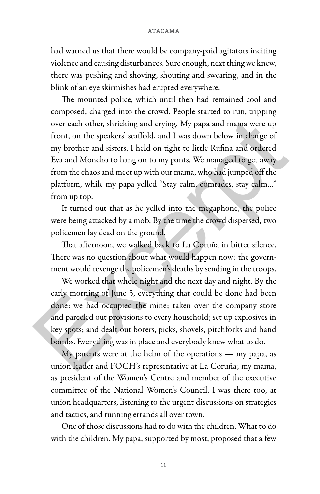had warned us that there would be company-paid agitators inciting violence and causing disturbances. Sure enough, next thing we knew, there was pushing and shoving, shouting and swearing, and in the blink of an eye skirmishes had erupted everywhere.

The mounted police, which until then had remained cool and composed, charged into the crowd. People started to run, tripping over each other, shrieking and crying. My papa and mama were up front, on the speakers' scaffold, and I was down below in charge of my brother and sisters. I held on tight to little Rufina and ordered Eva and Moncho to hang on to my pants. We managed to get away from the chaos and meet up with our mama, who had jumped off the platform, while my papa yelled "Stay calm, comrades, stay calm…" from up top. over each other, shricking and crying. My papa and mama were up<br>front, on the speakers' scaffold, and I was down below in charge of<br>my brother and sisters. I held on tight to little Rufina and ordered<br>Eva and Moncho to han

It turned out that as he yelled into the megaphone, the police were being attacked by a mob. By the time the crowd dispersed, two policemen lay dead on the ground.

That afternoon, we walked back to La Coruña in bitter silence. There was no question about what would happen now: the government would revenge the policemen's deaths by sending in the troops.

We worked that whole night and the next day and night. By the early morning of June 5, everything that could be done had been done: we had occupied the mine; taken over the company store and parceled out provisions to every household; set up explosives in key spots; and dealt out borers, picks, shovels, pitchforks and hand bombs. Everything was in place and everybody knew what to do.

My parents were at the helm of the operations — my papa, as union leader and FOCH's representative at La Coruña; my mama, as president of the Women's Centre and member of the executive committee of the National Women's Council. I was there too, at union headquarters, listening to the urgent discussions on strategies and tactics, and running errands all over town.

One of those discussions had to do with the children. What to do with the children. My papa, supported by most, proposed that a few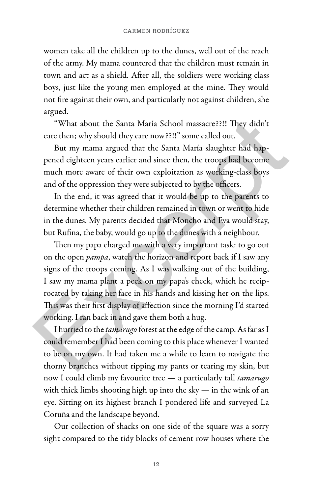women take all the children up to the dunes, well out of the reach of the army. My mama countered that the children must remain in town and act as a shield. After all, the soldiers were working class boys, just like the young men employed at the mine. They would not fire against their own, and particularly not against children, she argued.

"What about the Santa María School massacre??!! They didn't care then; why should they care now??!!" some called out.

But my mama argued that the Santa María slaughter had happened eighteen years earlier and since then, the troops had become much more aware of their own exploitation as working-class boys and of the oppression they were subjected to by the officers.

In the end, it was agreed that it would be up to the parents to determine whether their children remained in town or went to hide in the dunes. My parents decided that Moncho and Eva would stay, but Rufina, the baby, would go up to the dunes with a neighbour.

Then my papa charged me with a very important task: to go out on the open *pampa*, watch the horizon and report back if I saw any signs of the troops coming. As I was walking out of the building, I saw my mama plant a peck on my papa's cheek, which he reciprocated by taking her face in his hands and kissing her on the lips. This was their first display of affection since the morning I'd started working. I ran back in and gave them both a hug. "What about the Santa María School massacre??!! They didn't<br>care then; why should they care now ??!!" some called out.<br>But my mama argued that the Santa María slaughter had hap-<br>pened eighteen years earlier and since then

I hurried to the *tamarugo* forest at the edge of the camp. As far as I could remember I had been coming to this place whenever I wanted to be on my own. It had taken me a while to learn to navigate the thorny branches without ripping my pants or tearing my skin, but now I could climb my favourite tree — a particularly tall *tamarugo* with thick limbs shooting high up into the sky — in the wink of an eye. Sitting on its highest branch I pondered life and surveyed La Coruña and the landscape beyond.

Our collection of shacks on one side of the square was a sorry sight compared to the tidy blocks of cement row houses where the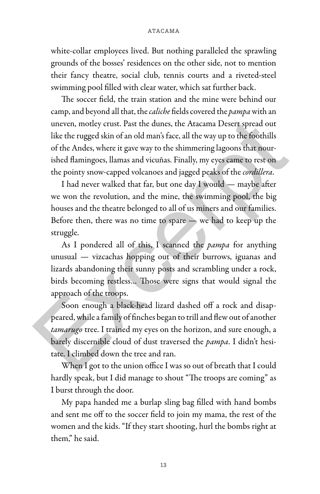white-collar employees lived. But nothing paralleled the sprawling grounds of the bosses' residences on the other side, not to mention their fancy theatre, social club, tennis courts and a riveted-steel swimming pool filled with clear water, which sat further back.

The soccer field, the train station and the mine were behind our camp, and beyond all that, the *caliche* fields covered the *pampa* with an uneven, motley crust. Past the dunes, the Atacama Desert spread out like the rugged skin of an old man's face, all the way up to the foothills of the Andes, where it gave way to the shimmering lagoons that nourished flamingoes, llamas and vicuñas. Finally, my eyes came to rest on the pointy snow-capped volcanoes and jagged peaks of the *cordillera*. uneven, motley crust. Past the dunes, the Atacama Desert spread out like the rugged skin of an old man's face, all the way up to the foothills of the Andes, where it gave way to the shimmering lagoons that nourished flami

I had never walked that far, but one day I would — maybe after we won the revolution, and the mine, the swimming pool, the big houses and the theatre belonged to all of us miners and our families. Before then, there was no time to spare  $-$  we had to keep up the struggle.

As I pondered all of this, I scanned the *pampa* for anything unusual — vizcachas hopping out of their burrows, iguanas and lizards abandoning their sunny posts and scrambling under a rock, birds becoming restless… Those were signs that would signal the approach of the troops.

Soon enough a black-head lizard dashed off a rock and disappeared, while a family of finches began to trill and flew out of another *tamarugo* tree. I trained my eyes on the horizon, and sure enough, a barely discernible cloud of dust traversed the *pampa*. I didn't hesitate. I climbed down the tree and ran.

When I got to the union office I was so out of breath that I could hardly speak, but I did manage to shout "The troops are coming" as I burst through the door.

My papa handed me a burlap sling bag filled with hand bombs and sent me off to the soccer field to join my mama, the rest of the women and the kids. "If they start shooting, hurl the bombs right at them," he said.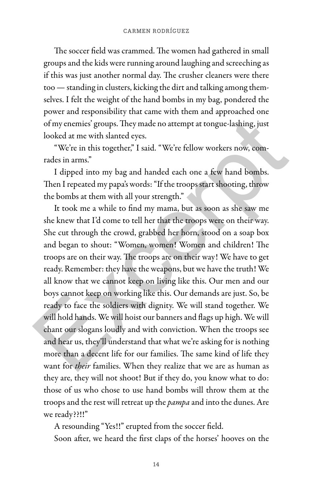The soccer field was crammed. The women had gathered in small groups and the kids were running around laughing and screeching as if this was just another normal day. The crusher cleaners were there too — standing in clusters, kicking the dirt and talking among themselves. I felt the weight of the hand bombs in my bag, pondered the power and responsibility that came with them and approached one of my enemies' groups. They made no attempt at tongue-lashing, just looked at me with slanted eyes.

"We're in this together," I said. "We're fellow workers now, comrades in arms."

I dipped into my bag and handed each one a few hand bombs. Then I repeated my papa's words: "If the troops start shooting, throw the bombs at them with all your strength."

It took me a while to find my mama, but as soon as she saw me she knew that I'd come to tell her that the troops were on their way. She cut through the crowd, grabbed her horn, stood on a soap box and began to shout: "Women, women! Women and children! The troops are on their way. The troops are on their way! We have to get ready. Remember: they have the weapons, but we have the truth! We all know that we cannot keep on living like this. Our men and our boys cannot keep on working like this. Our demands are just. So, be ready to face the soldiers with dignity. We will stand together. We will hold hands. We will hoist our banners and flags up high. We will chant our slogans loudly and with conviction. When the troops see and hear us, they'll understand that what we're asking for is nothing more than a decent life for our families. The same kind of life they want for *their* families. When they realize that we are as human as they are, they will not shoot! But if they do, you know what to do: those of us who chose to use hand bombs will throw them at the troops and the rest will retreat up the *pampa* and into the dunes. Are we ready??!!" of my enemies' groups. They made no attempt at tongue-lashing, just<br>looked at me with slanted eyes.<br>"We're in this together," I said. "We're fellow workers now, com-<br>rades in arms."<br>I dipped into my bag and handed each one

A resounding "Yes!!" erupted from the soccer field.

Soon after, we heard the first claps of the horses' hooves on the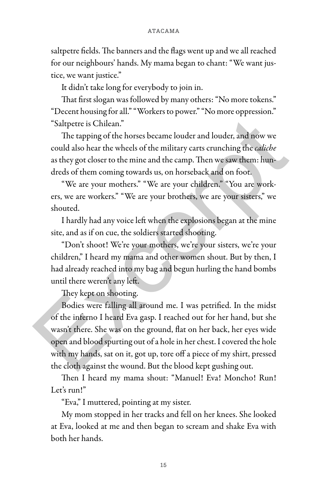saltpetre fields. The banners and the flags went up and we all reached for our neighbours' hands. My mama began to chant: "We want justice, we want justice."

It didn't take long for everybody to join in.

That first slogan was followed by many others: "No more tokens." "Decent housing for all." "Workers to power." "No more oppression." "Saltpetre is Chilean."

The tapping of the horses became louder and louder, and now we could also hear the wheels of the military carts crunching the *caliche* as they got closer to the mine and the camp. Then we saw them: hundreds of them coming towards us, on horseback and on foot.

"We are your mothers." "We are your children." "You are workers, we are workers." "We are your brothers, we are your sisters," we shouted.

I hardly had any voice left when the explosions began at the mine site, and as if on cue, the soldiers started shooting.

"Don't shoot! We're your mothers, we're your sisters, we're your children," I heard my mama and other women shout. But by then, I had already reached into my bag and begun hurling the hand bombs until there weren't any left.

They kept on shooting.

Bodies were falling all around me. I was petrified. In the midst of the inferno I heard Eva gasp. I reached out for her hand, but she wasn't there. She was on the ground, flat on her back, her eyes wide open and blood spurting out of a hole in her chest. I covered the hole with my hands, sat on it, got up, tore off a piece of my shirt, pressed the cloth against the wound. But the blood kept gushing out. "Saltpetre is Chilean."<br>
The tapping of the horses became louder and louder, and now we<br>
could also hear the wheels of the military carts crunching the *caliche*<br>
as they got closer to the mine and the camp. Then we saw th

Then I heard my mama shout: "Manuel! Eva! Moncho! Run! Let's run!"

"Eva," I muttered, pointing at my sister.

My mom stopped in her tracks and fell on her knees. She looked at Eva, looked at me and then began to scream and shake Eva with both her hands.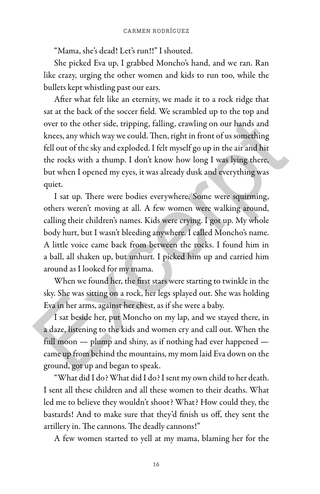"Mama, she's dead! Let's run!!" I shouted.

She picked Eva up, I grabbed Moncho's hand, and we ran. Ran like crazy, urging the other women and kids to run too, while the bullets kept whistling past our ears.

After what felt like an eternity, we made it to a rock ridge that sat at the back of the soccer field. We scrambled up to the top and over to the other side, tripping, falling, crawling on our hands and knees, any which way we could. Then, right in front of us something fell out of the sky and exploded. I felt myself go up in the air and hit the rocks with a thump. I don't know how long I was lying there, but when I opened my eyes, it was already dusk and everything was quiet.

I sat up. There were bodies everywhere. Some were squirming, others weren't moving at all. A few women were walking around, calling their children's names. Kids were crying. I got up. My whole body hurt, but I wasn't bleeding anywhere. I called Moncho's name. A little voice came back from between the rocks. I found him in a ball, all shaken up, but unhurt. I picked him up and carried him around as I looked for my mama. over to the other side, tripping, falling, crawling on our hands and<br>knees, any which way we could. Then, right in front of us something<br>fell out of the sky and exploded. I felt myself go up in the air and hit<br>the rocks wi

When we found her, the first stars were starting to twinkle in the sky. She was sitting on a rock, her legs splayed out. She was holding Eva in her arms, against her chest, as if she were a baby.

I sat beside her, put Moncho on my lap, and we stayed there, in a daze, listening to the kids and women cry and call out. When the full moon — plump and shiny, as if nothing had ever happened came up from behind the mountains, my mom laid Eva down on the ground, got up and began to speak.

"What did I do? What did I do? I sent my own child to her death. I sent all these children and all these women to their deaths. What led me to believe they wouldn't shoot? What? How could they, the bastards! And to make sure that they'd finish us off, they sent the artillery in. The cannons. The deadly cannons!"

A few women started to yell at my mama, blaming her for the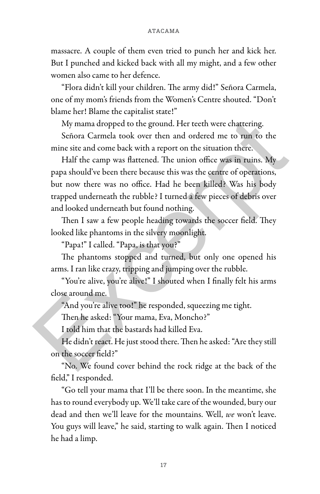massacre. A couple of them even tried to punch her and kick her. But I punched and kicked back with all my might, and a few other women also came to her defence.

"Flora didn't kill your children. The army did!" Señora Carmela, one of my mom's friends from the Women's Centre shouted. "Don't blame her! Blame the capitalist state!"

My mama dropped to the ground. Her teeth were chattering.

Señora Carmela took over then and ordered me to run to the mine site and come back with a report on the situation there.

Half the camp was flattened. The union office was in ruins. My papa should've been there because this was the centre of operations, but now there was no office. Had he been killed? Was his body trapped underneath the rubble? I turned a few pieces of debris over and looked underneath but found nothing. My mama dropped to the ground. Her teeth were chattering.<br>
Señora Carmela took over then and ordered me to run to the<br>
mine site and come back with a report on the situation there.<br>
Half the camp was flattened. The union o

Then I saw a few people heading towards the soccer field. They looked like phantoms in the silvery moonlight.

"Papa!" I called. "Papa, is that you?"

The phantoms stopped and turned, but only one opened his arms. I ran like crazy, tripping and jumping over the rubble.

"You're alive, you're alive!" I shouted when I finally felt his arms close around me.

"And you're alive too!" he responded, squeezing me tight.

Then he asked: "Your mama, Eva, Moncho?"

I told him that the bastards had killed Eva.

He didn't react. He just stood there. Then he asked: "Are they still on the soccer field?"

"No. We found cover behind the rock ridge at the back of the field," I responded.

"Go tell your mama that I'll be there soon. In the meantime, she has to round everybody up. We'll take care of the wounded, bury our dead and then we'll leave for the mountains. Well, *we* won't leave. You guys will leave," he said, starting to walk again. Then I noticed he had a limp.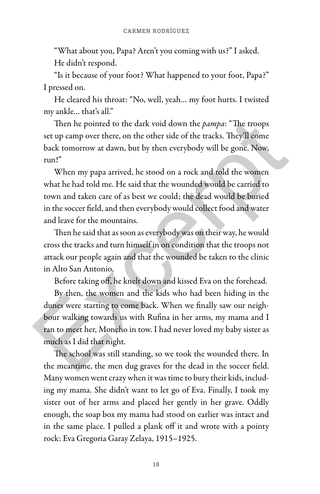"What about you, Papa? Aren't you coming with us?" I asked. He didn't respond.

"Is it because of your foot? What happened to your foot, Papa?" I pressed on.

He cleared his throat: "No, well, yeah… my foot hurts. I twisted my ankle… that's all."

Then he pointed to the dark void down the *pampa*: "The troops set up camp over there, on the other side of the tracks. They'll come back tomorrow at dawn, but by then everybody will be gone. Now, run!"

When my papa arrived, he stood on a rock and told the women what he had told me. He said that the wounded would be carried to town and taken care of as best we could; the dead would be buried in the soccer field, and then everybody would collect food and water and leave for the mountains.

Then he said that as soon as everybody was on their way, he would cross the tracks and turn himself in on condition that the troops not attack our people again and that the wounded be taken to the clinic in Alto San Antonio.

Before taking off, he knelt down and kissed Eva on the forehead.

By then, the women and the kids who had been hiding in the dunes were starting to come back. When we finally saw our neighbour walking towards us with Rufina in her arms, my mama and I ran to meet her, Moncho in tow. I had never loved my baby sister as much as I did that night. Then he pointed to the dark void down the *pampa*: "The troops<br>set up camp over there, on the other side of the tracks. They'll come<br>back tomorrow at dawn, but by then everybody will be gone. Now,<br>run!"<br>When my papa arriv

The school was still standing, so we took the wounded there. In the meantime, the men dug graves for the dead in the soccer field. Many women went crazy when it was time to bury their kids, including my mama. She didn't want to let go of Eva. Finally, I took my sister out of her arms and placed her gently in her grave. Oddly enough, the soap box my mama had stood on earlier was intact and in the same place. I pulled a plank off it and wrote with a pointy rock: Eva Gregoria Garay Zelaya, 1915–1925.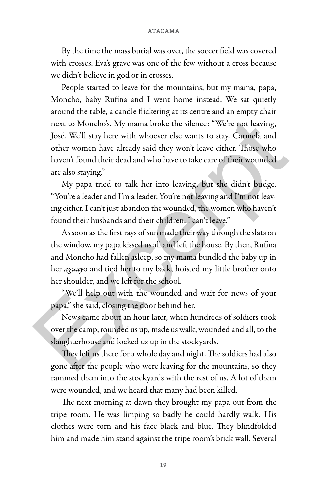By the time the mass burial was over, the soccer field was covered with crosses. Eva's grave was one of the few without a cross because we didn't believe in god or in crosses.

People started to leave for the mountains, but my mama, papa, Moncho, baby Rufina and I went home instead. We sat quietly around the table, a candle flickering at its centre and an empty chair next to Moncho's. My mama broke the silence: "We're not leaving, José. We'll stay here with whoever else wants to stay. Carmela and other women have already said they won't leave either. Those who haven't found their dead and who have to take care of their wounded are also staying." next to Moncho's. My mama broke the silence: "We're not leaving,<br>José. We'll stay here with whoever else wants to stay. Carmela and<br>other women have already said they won't leave either. Those who<br>haven't found their dead

My papa tried to talk her into leaving, but she didn't budge. "You're a leader and I'm a leader. You're not leaving and I'm not leaving either. I can't just abandon the wounded, the women who haven't found their husbands and their children. I can't leave."

As soon as the first rays of sun made their way through the slats on the window, my papa kissed us all and left the house. By then, Rufina and Moncho had fallen asleep, so my mama bundled the baby up in her *aguay*o and tied her to my back, hoisted my little brother onto her shoulder, and we left for the school.

"We'll help out with the wounded and wait for news of your papa," she said, closing the door behind her.

News came about an hour later, when hundreds of soldiers took over the camp, rounded us up, made us walk, wounded and all, to the slaughterhouse and locked us up in the stockyards.

They left us there for a whole day and night. The soldiers had also gone after the people who were leaving for the mountains, so they rammed them into the stockyards with the rest of us. A lot of them were wounded, and we heard that many had been killed.

The next morning at dawn they brought my papa out from the tripe room. He was limping so badly he could hardly walk. His clothes were torn and his face black and blue. They blindfolded him and made him stand against the tripe room's brick wall. Several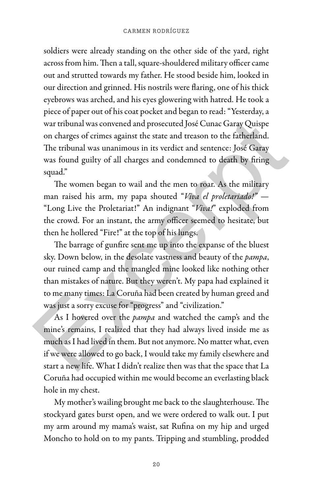soldiers were already standing on the other side of the yard, right across from him. Then a tall, square-shouldered military officer came out and strutted towards my father. He stood beside him, looked in our direction and grinned. His nostrils were flaring, one of his thick eyebrows was arched, and his eyes glowering with hatred. He took a piece of paper out of his coat pocket and began to read: "Yesterday, a war tribunal was convened and prosecuted José Cunac Garay Quispe on charges of crimes against the state and treason to the fatherland. The tribunal was unanimous in its verdict and sentence: José Garay was found guilty of all charges and condemned to death by firing squad."

The women began to wail and the men to roar. As the military man raised his arm, my papa shouted "*Viva el proletariado!"* — "Long Live the Proletariat!" An indignant "*Viva!*" exploded from the crowd. For an instant, the army officer seemed to hesitate, but then he hollered "Fire!" at the top of his lungs.

The barrage of gunfire sent me up into the expanse of the bluest sky. Down below, in the desolate vastness and beauty of the *pampa*, our ruined camp and the mangled mine looked like nothing other than mistakes of nature. But they weren't. My papa had explained it to me many times: La Coruña had been created by human greed and was just a sorry excuse for "progress" and "civilization." war tribunal was convened and prosecuted José Cunac Garay Quispe<br>on charges of crimes against the state and treason to the fatherland.<br>The tribunal was unanimous in its verdict and sentence: José Garay<br>was found guilty of

As I hovered over the *pampa* and watched the camp's and the mine's remains, I realized that they had always lived inside me as much as I had lived in them. But not anymore. No matter what, even if we were allowed to go back, I would take my family elsewhere and start a new life. What I didn't realize then was that the space that La Coruña had occupied within me would become an everlasting black hole in my chest.

My mother's wailing brought me back to the slaughterhouse. The stockyard gates burst open, and we were ordered to walk out. I put my arm around my mama's waist, sat Rufina on my hip and urged Moncho to hold on to my pants. Tripping and stumbling, prodded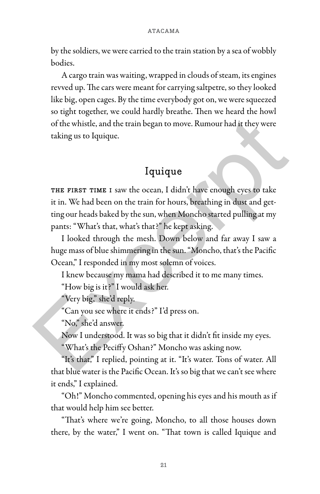by the soldiers, we were carried to the train station by a sea of wobbly bodies.

A cargo train was waiting, wrapped in clouds of steam, its engines revved up. The cars were meant for carrying saltpetre, so they looked like big, open cages. By the time everybody got on, we were squeezed so tight together, we could hardly breathe. Then we heard the howl of the whistle, and the train began to move. Rumour had it they were taking us to Iquique.

## Iquique

THE FIRST TIME I saw the ocean, I didn't have enough eyes to take it in. We had been on the train for hours, breathing in dust and getting our heads baked by the sun, when Moncho started pulling at my pants: "What's that, what's that?" he kept asking. of the whistle, and the train began to move. Rumour had it they were<br>taking us to Iquique.<br>Iquique<br>THE FIRST TIME I saw the ocean, I didn't have enough eyes to take<br>it in. We had been on the train for hours, breathing in d

I looked through the mesh. Down below and far away I saw a huge mass of blue shimmering in the sun. "Moncho, that's the Pacific Ocean," I responded in my most solemn of voices.

I knew because my mama had described it to me many times.

"How big is it?" I would ask her.

"Very big," she'd reply.

"Can you see where it ends?" I'd press on.

"No," she'd answer.

Now I understood. It was so big that it didn't fit inside my eyes.

"What's the Peciffy Oshan?" Moncho was asking now.

"It's that," I replied, pointing at it. "It's water. Tons of water. All that blue water is the Pacific Ocean. It's so big that we can't see where it ends," I explained.

"Oh!" Moncho commented, opening his eyes and his mouth as if that would help him see better.

"That's where we're going, Moncho, to all those houses down there, by the water," I went on. "That town is called Iquique and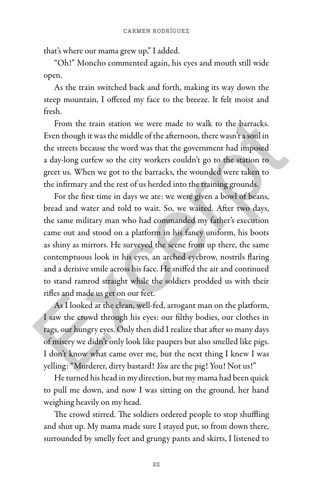that's where our mama grew up," I added.

"Oh!" Moncho commented again, his eyes and mouth still wide open.

As the train switched back and forth, making its way down the steep mountain, I offered my face to the breeze. It felt moist and fresh.

From the train station we were made to walk to the barracks. Even though it was the middle of the afternoon, there wasn't a soul in the streets because the word was that the government had imposed a day-long curfew so the city workers couldn't go to the station to greet us. When we got to the barracks, the wounded were taken to the infirmary and the rest of us herded into the training grounds.

For the first time in days we ate: we were given a bowl of beans, bread and water and told to wait. So, we waited. After two days, the same military man who had commanded my father's execution came out and stood on a platform in his fancy uniform, his boots as shiny as mirrors. He surveyed the scene from up there, the same contemptuous look in his eyes, an arched eyebrow, nostrils flaring and a derisive smile across his face. He sniffed the air and continued to stand ramrod straight while the soldiers prodded us with their rifles and made us get on our feet. From the train station we were made to walk to the barracks.<br>Even though it was the middle of the afternoon, there wasn't a soul in<br>the streets because the word was that the government had imposed<br>a day-long curfew so the

As I looked at the clean, well-fed, arrogant man on the platform, I saw the crowd through his eyes: our filthy bodies, our clothes in rags, our hungry eyes. Only then did I realize that after so many days of misery we didn't only look like paupers but also smelled like pigs. I don't know what came over me, but the next thing I knew I was yelling: "Murderer, dirty bastard! *You* are the pig! You! Not us!"

He turned his head in my direction, but my mama had been quick to pull me down, and now I was sitting on the ground, her hand weighing heavily on my head.

The crowd stirred. The soldiers ordered people to stop shuffling and shut up. My mama made sure I stayed put, so from down there, surrounded by smelly feet and grungy pants and skirts, I listened to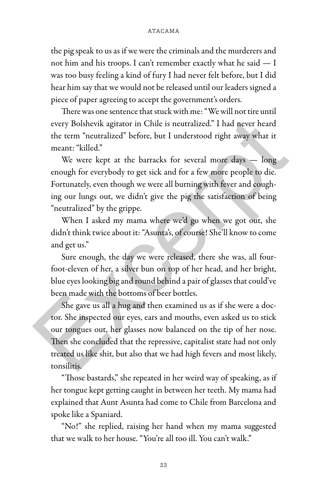the pig speak to us as if we were the criminals and the murderers and not him and his troops. I can't remember exactly what he said — I was too busy feeling a kind of fury I had never felt before, but I did hear him say that we would not be released until our leaders signed a piece of paper agreeing to accept the government's orders.

There was one sentence that stuck with me: "We will not tire until every Bolshevik agitator in Chile is neutralized." I had never heard the term "neutralized" before, but I understood right away what it meant: "killed."

We were kept at the barracks for several more days - long enough for everybody to get sick and for a few more people to die. Fortunately, even though we were all burning with fever and coughing our lungs out, we didn't give the pig the satisfaction of being "neutralized" by the grippe.

When I asked my mama where we'd go when we got out, she didn't think twice about it: "Asunta's, of course! She'll know to come and get us."

Sure enough, the day we were released, there she was, all fourfoot-eleven of her, a silver bun on top of her head, and her bright, blue eyes looking big and round behind a pair of glasses that could've been made with the bottoms of beer bottles.

She gave us all a hug and then examined us as if she were a doctor. She inspected our eyes, ears and mouths, even asked us to stick our tongues out, her glasses now balanced on the tip of her nose. Then she concluded that the repressive, capitalist state had not only treated us like shit, but also that we had high fevers and most likely, tonsilitis. every Bolshevik agitator in Chile is neutralized." I had never heard<br>the term "neutralized" before, but I understood right away what it<br>meant: "killed."<br>We were kept at the barracks for several more days — long<br>enough for

"Those bastards," she repeated in her weird way of speaking, as if her tongue kept getting caught in between her teeth. My mama had explained that Aunt Asunta had come to Chile from Barcelona and spoke like a Spaniard.

"No!" she replied, raising her hand when my mama suggested that we walk to her house. "You're all too ill. You can't walk."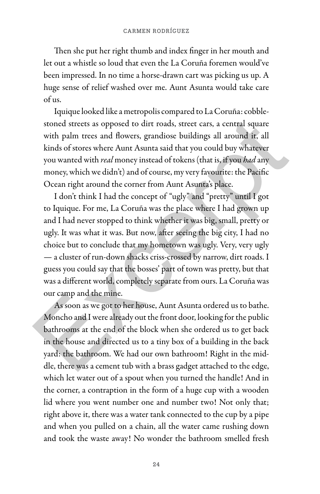Then she put her right thumb and index finger in her mouth and let out a whistle so loud that even the La Coruña foremen would've been impressed. In no time a horse-drawn cart was picking us up. A huge sense of relief washed over me. Aunt Asunta would take care of us.

Iquique looked like a metropolis compared to La Coruña: cobblestoned streets as opposed to dirt roads, street cars, a central square with palm trees and flowers, grandiose buildings all around it, all kinds of stores where Aunt Asunta said that you could buy whatever you wanted with *real* money instead of tokens (that is, if you *had* any money, which we didn't) and of course, my very favourite: the Pacific Ocean right around the corner from Aunt Asunta's place.

I don't think I had the concept of "ugly" and "pretty" until I got to Iquique. For me, La Coruña was the place where I had grown up and I had never stopped to think whether it was big, small, pretty or ugly. It was what it was. But now, after seeing the big city, I had no choice but to conclude that my hometown was ugly. Very, very ugly — a cluster of run-down shacks criss-crossed by narrow, dirt roads. I guess you could say that the bosses' part of town was pretty, but that was a different world, completely separate from ours. La Coruña was our camp and the mine. stoned streets as opposed to dirt roads, street cars, a central square<br>with palm trees and flowers, grandiose buildings all around it, all<br>kinds of stores where Aunt Asunta said that you could buy whatever<br>you wanted with

As soon as we got to her house, Aunt Asunta ordered us to bathe. Moncho and I were already out the front door, looking for the public bathrooms at the end of the block when she ordered us to get back in the house and directed us to a tiny box of a building in the back yard: the bathroom. We had our own bathroom! Right in the middle, there was a cement tub with a brass gadget attached to the edge, which let water out of a spout when you turned the handle! And in the corner, a contraption in the form of a huge cup with a wooden lid where you went number one and number two! Not only that; right above it, there was a water tank connected to the cup by a pipe and when you pulled on a chain, all the water came rushing down and took the waste away! No wonder the bathroom smelled fresh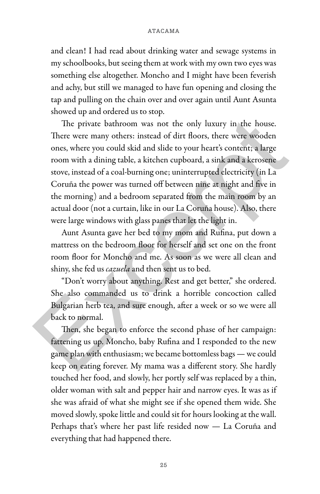and clean! I had read about drinking water and sewage systems in my schoolbooks, but seeing them at work with my own two eyes was something else altogether. Moncho and I might have been feverish and achy, but still we managed to have fun opening and closing the tap and pulling on the chain over and over again until Aunt Asunta showed up and ordered us to stop.

The private bathroom was not the only luxury in the house. There were many others: instead of dirt floors, there were wooden ones, where you could skid and slide to your heart's content; a large room with a dining table, a kitchen cupboard, a sink and a kerosene stove, instead of a coal-burning one; uninterrupted electricity (in La Coruña the power was turned off between nine at night and five in the morning) and a bedroom separated from the main room by an actual door (not a curtain, like in our La Coruña house). Also, there were large windows with glass panes that let the light in. The private bathroom was not the only luxury in the house.<br>There were many others: instead of dirt floors, there were wooden<br>ones, where you could skid and slide to your heart's content; a large<br>room with a dining table, a

Aunt Asunta gave her bed to my mom and Rufina, put down a mattress on the bedroom floor for herself and set one on the front room floor for Moncho and me. As soon as we were all clean and shiny, she fed us *cazuela* and then sent us to bed.

"Don't worry about anything. Rest and get better," she ordered. She also commanded us to drink a horrible concoction called Bulgarian herb tea, and sure enough, after a week or so we were all back to normal.

Then, she began to enforce the second phase of her campaign: fattening us up. Moncho, baby Rufina and I responded to the new game plan with enthusiasm; we became bottomless bags — we could keep on eating forever. My mama was a different story. She hardly touched her food, and slowly, her portly self was replaced by a thin, older woman with salt and pepper hair and narrow eyes. It was as if she was afraid of what she might see if she opened them wide. She moved slowly, spoke little and could sit for hours looking at the wall. Perhaps that's where her past life resided now — La Coruña and everything that had happened there.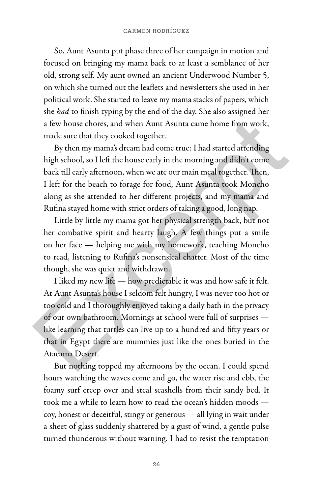#### **CARMEN RODRÍGUEZ**

So, Aunt Asunta put phase three of her campaign in motion and focused on bringing my mama back to at least a semblance of her old, strong self. My aunt owned an ancient Underwood Number 5, on which she turned out the leaflets and newsletters she used in her political work. She started to leave my mama stacks of papers, which she *had* to finish typing by the end of the day. She also assigned her a few house chores, and when Aunt Asunta came home from work, made sure that they cooked together.

By then my mama's dream had come true: I had started attending high school, so I left the house early in the morning and didn't come back till early afternoon, when we ate our main meal together. Then, I left for the beach to forage for food, Aunt Asunta took Moncho along as she attended to her different projects, and my mama and Rufina stayed home with strict orders of taking a good, long nap.

Little by little my mama got her physical strength back, but not her combative spirit and hearty laugh. A few things put a smile on her face — helping me with my homework, teaching Moncho to read, listening to Rufina's nonsensical chatter. Most of the time though, she was quiet and withdrawn.

I liked my new life — how predictable it was and how safe it felt. At Aunt Asunta's house I seldom felt hungry, I was never too hot or too cold and I thoroughly enjoyed taking a daily bath in the privacy of our own bathroom. Mornings at school were full of surprises like learning that turtles can live up to a hundred and fifty years or that in Egypt there are mummies just like the ones buried in the Atacama Desert. a few house chores, and when Aunt Asunta came home from work,<br>made sure that they cooked together.<br>By then my mama's dream had come true: I had started attending<br>high school, so I left the house early in the morning and di

But nothing topped my afternoons by the ocean. I could spend hours watching the waves come and go, the water rise and ebb, the foamy surf creep over and steal seashells from their sandy bed. It took me a while to learn how to read the ocean's hidden moods coy, honest or deceitful, stingy or generous — all lying in wait under a sheet of glass suddenly shattered by a gust of wind, a gentle pulse turned thunderous without warning. I had to resist the temptation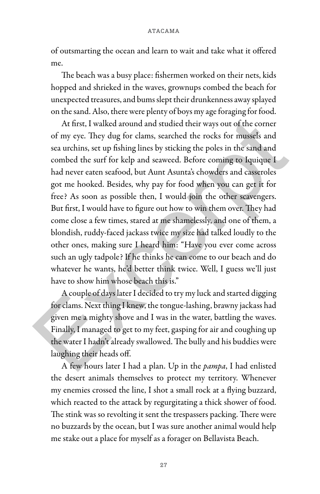of outsmarting the ocean and learn to wait and take what it offered me.

The beach was a busy place: fishermen worked on their nets, kids hopped and shrieked in the waves, grownups combed the beach for unexpected treasures, and bums slept their drunkenness away splayed on the sand. Also, there were plenty of boys my age foraging for food.

At first, I walked around and studied their ways out of the corner of my eye. They dug for clams, searched the rocks for mussels and sea urchins, set up fishing lines by sticking the poles in the sand and combed the surf for kelp and seaweed. Before coming to Iquique I had never eaten seafood, but Aunt Asunta's chowders and casseroles got me hooked. Besides, why pay for food when you can get it for free? As soon as possible then, I would join the other scavengers. But first, I would have to figure out how to win them over. They had come close a few times, stared at me shamelessly, and one of them, a blondish, ruddy-faced jackass twice my size had talked loudly to the other ones, making sure I heard him: "Have you ever come across such an ugly tadpole? If he thinks he can come to our beach and do whatever he wants, he'd better think twice. Well, I guess we'll just have to show him whose beach this is." At first, I walked around and studied their ways out of the corner<br>of my eye. They dug for clams, searched the rocks for mussels and<br>sea urchins, set up fishing lines by sticking the poles in the sand and<br>combed the surf f

A couple of days later I decided to try my luck and started digging for clams. Next thing I knew, the tongue-lashing, brawny jackass had given me a mighty shove and I was in the water, battling the waves. Finally, I managed to get to my feet, gasping for air and coughing up the water I hadn't already swallowed. The bully and his buddies were laughing their heads off.

A few hours later I had a plan. Up in the *pampa*, I had enlisted the desert animals themselves to protect my territory. Whenever my enemies crossed the line, I shot a small rock at a flying buzzard, which reacted to the attack by regurgitating a thick shower of food. The stink was so revolting it sent the trespassers packing. There were no buzzards by the ocean, but I was sure another animal would help me stake out a place for myself as a forager on Bellavista Beach.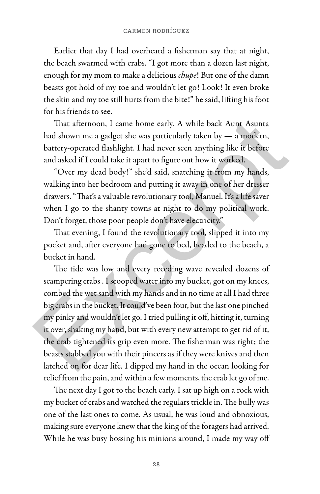Earlier that day I had overheard a fisherman say that at night, the beach swarmed with crabs. "I got more than a dozen last night, enough for my mom to make a delicious *chupe*! But one of the damn beasts got hold of my toe and wouldn't let go! Look! It even broke the skin and my toe still hurts from the bite!" he said, lifting his foot for his friends to see.

That afternoon, I came home early. A while back Aunt Asunta had shown me a gadget she was particularly taken by — a modern, battery-operated flashlight. I had never seen anything like it before and asked if I could take it apart to figure out how it worked.

"Over my dead body!" she'd said, snatching it from my hands, walking into her bedroom and putting it away in one of her dresser drawers. "That's a valuable revolutionary tool, Manuel. It's a life saver when I go to the shanty towns at night to do my political work. Don't forget, those poor people don't have electricity."

That evening, I found the revolutionary tool, slipped it into my pocket and, after everyone had gone to bed, headed to the beach, a bucket in hand.

The tide was low and every receding wave revealed dozens of scampering crabs . I scooped water into my bucket, got on my knees, combed the wet sand with my hands and in no time at all I had three big crabs in the bucket. It could've been four, but the last one pinched my pinky and wouldn't let go. I tried pulling it off, hitting it, turning it over, shaking my hand, but with every new attempt to get rid of it, the crab tightened its grip even more. The fisherman was right; the beasts stabbed you with their pincers as if they were knives and then latched on for dear life. I dipped my hand in the ocean looking for relief from the pain, and within a few moments, the crab let go of me. That afternoon, I came home early. A while back Aunt Asunta<br>had shown me a gadget she was particularly taken by — a modern,<br>battery-operated flashlight. I had never seen anything like it before<br>and asked if I could take i

The next day I got to the beach early. I sat up high on a rock with my bucket of crabs and watched the regulars trickle in. The bully was one of the last ones to come. As usual, he was loud and obnoxious, making sure everyone knew that the king of the foragers had arrived. While he was busy bossing his minions around, I made my way off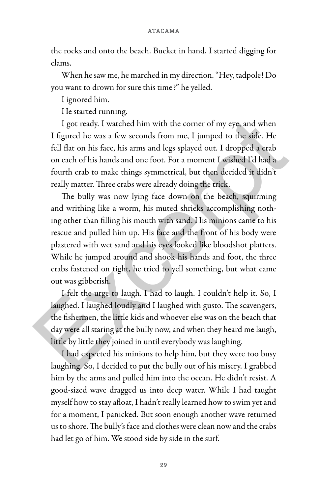the rocks and onto the beach. Bucket in hand, I started digging for clams.

When he saw me, he marched in my direction. "Hey, tadpole! Do you want to drown for sure this time?" he yelled.

I ignored him.

He started running.

I got ready. I watched him with the corner of my eye, and when I figured he was a few seconds from me, I jumped to the side. He fell flat on his face, his arms and legs splayed out. I dropped a crab on each of his hands and one foot. For a moment I wished I'd had a fourth crab to make things symmetrical, but then decided it didn't really matter. Three crabs were already doing the trick.

The bully was now lying face down on the beach, squirming and writhing like a worm, his muted shrieks accomplishing nothing other than filling his mouth with sand. His minions came to his rescue and pulled him up. His face and the front of his body were plastered with wet sand and his eyes looked like bloodshot platters. While he jumped around and shook his hands and foot, the three crabs fastened on tight, he tried to yell something, but what came out was gibberish. I got ready. I watched him with the corner of my eye, and when<br>I figured he was a few seconds from me, I jumped to the side. He<br>fell flat on his face, his arms and legs splayed out. I dropped a crab<br>on each of his hands an

I felt the urge to laugh. I had to laugh. I couldn't help it. So, I laughed. I laughed loudly and I laughed with gusto. The scavengers, the fishermen, the little kids and whoever else was on the beach that day were all staring at the bully now, and when they heard me laugh, little by little they joined in until everybody was laughing.

I had expected his minions to help him, but they were too busy laughing. So, I decided to put the bully out of his misery. I grabbed him by the arms and pulled him into the ocean. He didn't resist. A good-sized wave dragged us into deep water. While I had taught myself how to stay afloat, I hadn't really learned how to swim yet and for a moment, I panicked. But soon enough another wave returned us to shore. The bully's face and clothes were clean now and the crabs had let go of him. We stood side by side in the surf.